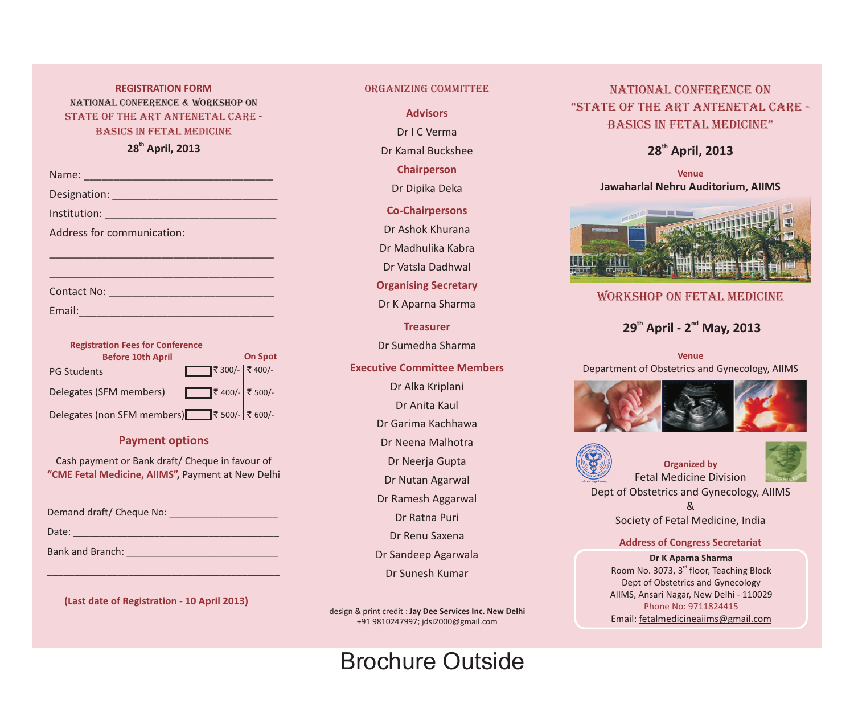# National CoNference & workshop on State of the Art Antenetal care - Basics in fetal medicine **REGISTRATION FORM COMMITTEE**

## **th 28 April, 2013**

| Name: 2008 - 2008 - 2008 - 2010 - 2010 - 2011 - 2012 - 2012 - 2014 - 2014 - 2014 - 2014 - 2014 - 201          |                |
|---------------------------------------------------------------------------------------------------------------|----------------|
|                                                                                                               |                |
|                                                                                                               |                |
| Address for communication:                                                                                    |                |
|                                                                                                               |                |
|                                                                                                               |                |
| Contact No: 2008                                                                                              |                |
| Email: 2008 - 2008 - 2010 - 2010 - 2011 - 2012 - 2012 - 2012 - 2014 - 2014 - 2014 - 2014 - 2014 - 2014 - 2014 |                |
|                                                                                                               |                |
| <b>Registration Fees for Conference</b>                                                                       |                |
| <b>Before 10th April</b>                                                                                      | <b>On Spot</b> |

| <b>DEIDIE TAMI UNIII</b> | <b>UILJNUL</b>      |
|--------------------------|---------------------|
| <b>PG Students</b>       | ₹ 300/- $ $ ₹ 400/- |
| Delegates (SFM members)  | ₹ 400/- ₹ 500/-     |
|                          |                     |

Delegates (non SFM members)<br> $\Box$ ₹ 500/- | ₹ 600/-

#### **Payment options**

Cash payment or Bank draft/ Cheque in favour of **"CME Fetal Medicine, AIIMS",** Payment at New Delhi

| Demand draft/ Cheque No: |  |
|--------------------------|--|
|--------------------------|--|

| Date: |  |  |  |
|-------|--|--|--|
|       |  |  |  |

| <b>Bank and Branch:</b> |  |  |  |
|-------------------------|--|--|--|
|-------------------------|--|--|--|

**(Last date of Registration - 10 April 2013)**

\_\_\_\_\_\_\_\_\_\_\_\_\_\_\_\_\_\_\_\_\_\_\_\_\_\_\_\_\_\_\_\_\_\_\_\_\_\_\_\_\_\_\_

**Advisors**

Dr I C Verma

Dr Kamal Buckshee

**Chairperson**

Dr Dipika Deka

**Co-Chairpersons**

Dr Ashok Khurana Dr Madhulika Kabra

Dr Vatsla Dadhwal

**Organising Secretary**

Dr K Aparna Sharma

**Treasurer**

Dr Sumedha Sharma

#### **Executive Committee Members**

- Dr Alka Kriplani
	- Dr Anita Kaul
- Dr Garima Kachhawa

Dr Neena Malhotra

Dr Neerja Gupta

Dr Nutan Agarwal

Dr Ramesh Aggarwal

Dr Ratna Puri

Dr Renu Saxena

Dr Sandeep Agarwala

Dr Sunesh Kumar

design & print credit : **Jay Dee Services Inc. New Delhi**  +91 9810247997; jdsi2000@gmail.com

# Brochure Outside

# National CoNference on "State of the Art Antenetal care - Basics in fetal medicine"

# **th 28 April, 2013**

**Venue Jawaharlal Nehru Auditorium, AIIMS**



# workshop on fetal medicine

# **th nd 29 April - 2 May, 2013**

**Venue** Department of Obstetrics and Gynecology, AIIMS





#### **Organized by** Fetal Medicine Division



Dept of Obstetrics and Gynecology, AIIMS

& Society of Fetal Medicine, India

**Address of Congress Secretariat**

**Dr K Aparna Sharma** Room No. 3073, 3<sup>rd</sup> floor, Teaching Block Dept of Obstetrics and Gynecology AIIMS, Ansari Nagar, New Delhi - 110029 Phone No: 9711824415 Email: fetalmedicineaiims@gmail.com